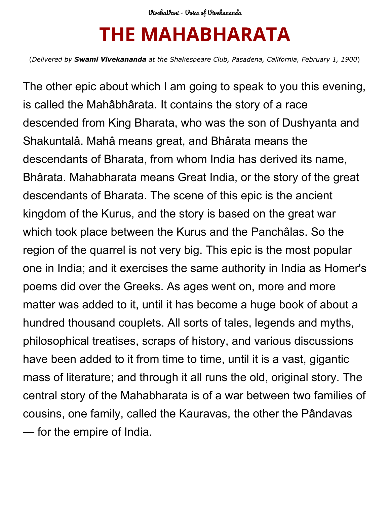## **THE MAHABHARATA**

(*Delivered by Swami Vivekananda at the Shakespeare Club, Pasadena, California, February 1, 1900*)

The other epic about which I am going to speak to you this evening, is called the Mahâbhârata. It contains the story of a race descended from King Bharata, who was the son of Dushyanta and Shakuntalâ. Mahâ means great, and Bhârata means the descendants of Bharata, from whom India has derived its name, Bhârata. Mahabharata means Great India, or the story of the great descendants of Bharata. The scene of this epic is the ancient kingdom of the Kurus, and the story is based on the great war which took place between the Kurus and the Panchâlas. So the region of the quarrel is not very big. This epic is the most popular one in India; and it exercises the same authority in India as Homer's poems did over the Greeks. As ages went on, more and more matter was added to it, until it has become a huge book of about a hundred thousand couplets. All sorts of tales, legends and myths, philosophical treatises, scraps of history, and various discussions have been added to it from time to time, until it is a vast, gigantic mass of literature; and through it all runs the old, original story. The central story of the Mahabharata is of a war between two families of cousins, one family, called the Kauravas, the other the Pândavas — for the empire of India.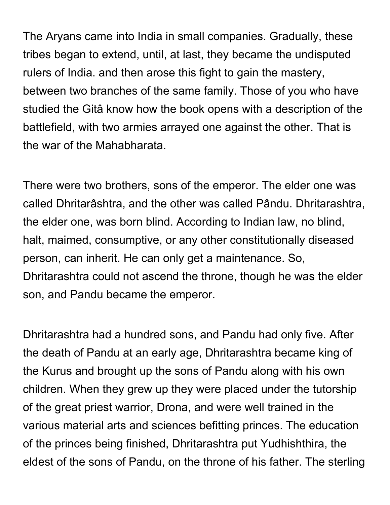The Aryans came into India in small companies. Gradually, these tribes began to extend, until, at last, they became the undisputed rulers of India. and then arose this fight to gain the mastery, between two branches of the same family. Those of you who have studied the Gitâ know how the book opens with a description of the battlefield, with two armies arrayed one against the other. That is the war of the Mahabharata.

There were two brothers, sons of the emperor. The elder one was called Dhritarâshtra, and the other was called Pându. Dhritarashtra, the elder one, was born blind. According to Indian law, no blind, halt, maimed, consumptive, or any other constitutionally diseased person, can inherit. He can only get a maintenance. So, Dhritarashtra could not ascend the throne, though he was the elder son, and Pandu became the emperor.

Dhritarashtra had a hundred sons, and Pandu had only five. After the death of Pandu at an early age, Dhritarashtra became king of the Kurus and brought up the sons of Pandu along with his own children. When they grew up they were placed under the tutorship of the great priest warrior, Drona, and were well trained in the various material arts and sciences befitting princes. The education of the princes being finished, Dhritarashtra put Yudhishthira, the eldest of the sons of Pandu, on the throne of his father. The sterling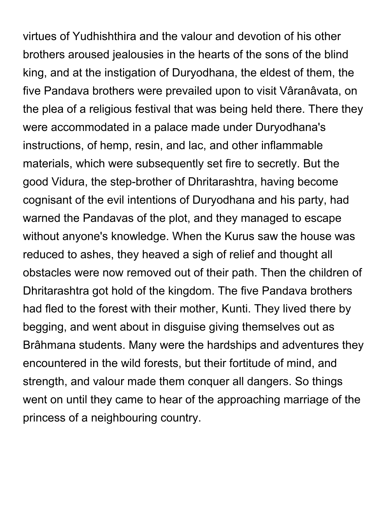virtues of Yudhishthira and the valour and devotion of his other brothers aroused jealousies in the hearts of the sons of the blind king, and at the instigation of Duryodhana, the eldest of them, the five Pandava brothers were prevailed upon to visit Vâranâvata, on the plea of a religious festival that was being held there. There they were accommodated in a palace made under Duryodhana's instructions, of hemp, resin, and lac, and other inflammable materials, which were subsequently set fire to secretly. But the good Vidura, the step-brother of Dhritarashtra, having become cognisant of the evil intentions of Duryodhana and his party, had warned the Pandavas of the plot, and they managed to escape without anyone's knowledge. When the Kurus saw the house was reduced to ashes, they heaved a sigh of relief and thought all obstacles were now removed out of their path. Then the children of Dhritarashtra got hold of the kingdom. The five Pandava brothers had fled to the forest with their mother, Kunti. They lived there by begging, and went about in disguise giving themselves out as Brâhmana students. Many were the hardships and adventures they encountered in the wild forests, but their fortitude of mind, and strength, and valour made them conquer all dangers. So things went on until they came to hear of the approaching marriage of the princess of a neighbouring country.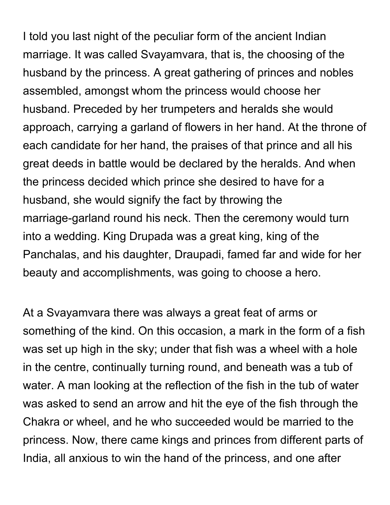I told you last night of the peculiar form of the ancient Indian marriage. It was called Svayamvara, that is, the choosing of the husband by the princess. A great gathering of princes and nobles assembled, amongst whom the princess would choose her husband. Preceded by her trumpeters and heralds she would approach, carrying a garland of flowers in her hand. At the throne of each candidate for her hand, the praises of that prince and all his great deeds in battle would be declared by the heralds. And when the princess decided which prince she desired to have for a husband, she would signify the fact by throwing the marriage-garland round his neck. Then the ceremony would turn into a wedding. King Drupada was a great king, king of the Panchalas, and his daughter, Draupadi, famed far and wide for her beauty and accomplishments, was going to choose a hero.

At a Svayamvara there was always a great feat of arms or something of the kind. On this occasion, a mark in the form of a fish was set up high in the sky; under that fish was a wheel with a hole in the centre, continually turning round, and beneath was a tub of water. A man looking at the reflection of the fish in the tub of water was asked to send an arrow and hit the eye of the fish through the Chakra or wheel, and he who succeeded would be married to the princess. Now, there came kings and princes from different parts of India, all anxious to win the hand of the princess, and one after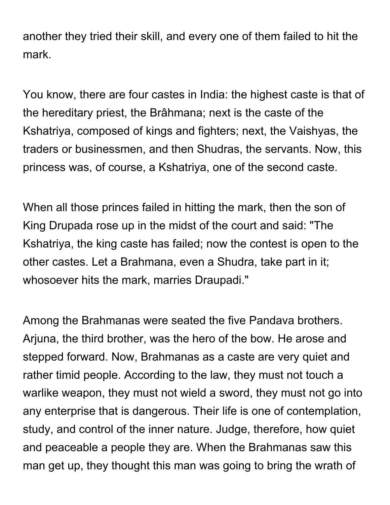another they tried their skill, and every one of them failed to hit the mark.

You know, there are four castes in India: the highest caste is that of the hereditary priest, the Brâhmana; next is the caste of the Kshatriya, composed of kings and fighters; next, the Vaishyas, the traders or businessmen, and then Shudras, the servants. Now, this princess was, of course, a Kshatriya, one of the second caste.

When all those princes failed in hitting the mark, then the son of King Drupada rose up in the midst of the court and said: "The Kshatriya, the king caste has failed; now the contest is open to the other castes. Let a Brahmana, even a Shudra, take part in it; whosoever hits the mark, marries Draupadi."

Among the Brahmanas were seated the five Pandava brothers. Arjuna, the third brother, was the hero of the bow. He arose and stepped forward. Now, Brahmanas as a caste are very quiet and rather timid people. According to the law, they must not touch a warlike weapon, they must not wield a sword, they must not go into any enterprise that is dangerous. Their life is one of contemplation, study, and control of the inner nature. Judge, therefore, how quiet and peaceable a people they are. When the Brahmanas saw this man get up, they thought this man was going to bring the wrath of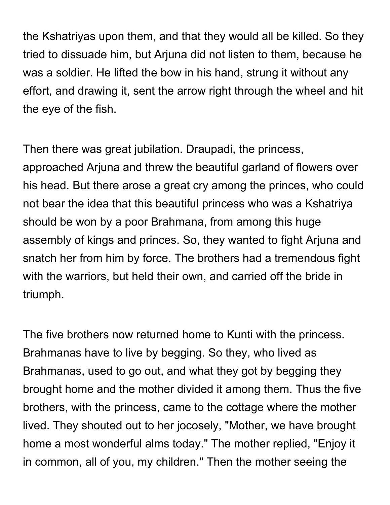the Kshatriyas upon them, and that they would all be killed. So they tried to dissuade him, but Arjuna did not listen to them, because he was a soldier. He lifted the bow in his hand, strung it without any effort, and drawing it, sent the arrow right through the wheel and hit the eye of the fish.

Then there was great jubilation. Draupadi, the princess, approached Arjuna and threw the beautiful garland of flowers over his head. But there arose a great cry among the princes, who could not bear the idea that this beautiful princess who was a Kshatriya should be won by a poor Brahmana, from among this huge assembly of kings and princes. So, they wanted to fight Arjuna and snatch her from him by force. The brothers had a tremendous fight with the warriors, but held their own, and carried off the bride in triumph.

The five brothers now returned home to Kunti with the princess. Brahmanas have to live by begging. So they, who lived as Brahmanas, used to go out, and what they got by begging they brought home and the mother divided it among them. Thus the five brothers, with the princess, came to the cottage where the mother lived. They shouted out to her jocosely, "Mother, we have brought home a most wonderful alms today." The mother replied, "Enjoy it in common, all of you, my children." Then the mother seeing the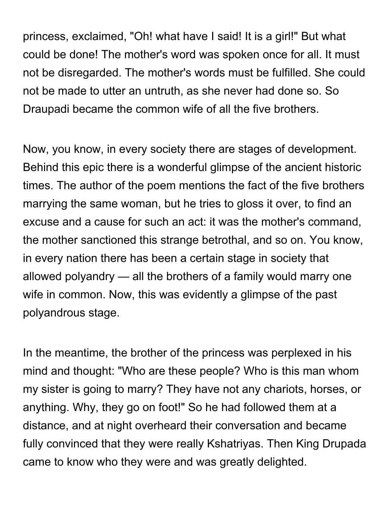princess, exclaimed, "Oh! what have I said! It is a girl!" But what could be done! The mother's word was spoken once for all. It must not be disregarded. The mother's words must be fulfilled. She could not be made to utter an untruth, as she never had done so. So Draupadi became the common wife of all the five brothers.

Now, you know, in every society there are stages of development. Behind this epic there is a wonderful glimpse of the ancient historic times. The author of the poem mentions the fact of the five brothers marrying the same woman, but he tries to gloss it over, to find an excuse and a cause for such an act: it was the mother's command, the mother sanctioned this strange betrothal, and so on. You know, in every nation there has been a certain stage in society that allowed polyandry — all the brothers of a family would marry one wife in common. Now, this was evidently a glimpse of the past polyandrous stage.

In the meantime, the brother of the princess was perplexed in his mind and thought: "Who are these people? Who is this man whom my sister is going to marry? They have not any chariots, horses, or anything. Why, they go on foot!" So he had followed them at a distance, and at night overheard their conversation and became fully convinced that they were really Kshatriyas. Then King Drupada came to know who they were and was greatly delighted.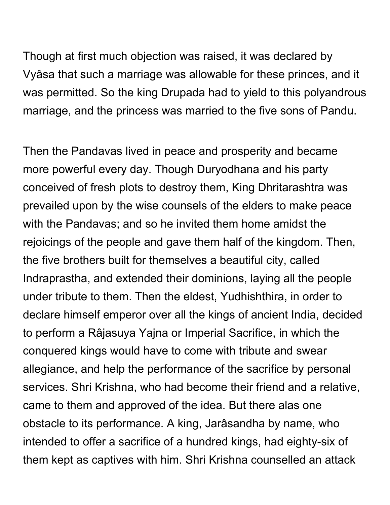Though at first much objection was raised, it was declared by Vyâsa that such a marriage was allowable for these princes, and it was permitted. So the king Drupada had to yield to this polyandrous marriage, and the princess was married to the five sons of Pandu.

Then the Pandavas lived in peace and prosperity and became more powerful every day. Though Duryodhana and his party conceived of fresh plots to destroy them, King Dhritarashtra was prevailed upon by the wise counsels of the elders to make peace with the Pandavas; and so he invited them home amidst the rejoicings of the people and gave them half of the kingdom. Then, the five brothers built for themselves a beautiful city, called Indraprastha, and extended their dominions, laying all the people under tribute to them. Then the eldest, Yudhishthira, in order to declare himself emperor over all the kings of ancient India, decided to perform a Râjasuya Yajna or Imperial Sacrifice, in which the conquered kings would have to come with tribute and swear allegiance, and help the performance of the sacrifice by personal services. Shri Krishna, who had become their friend and a relative, came to them and approved of the idea. But there alas one obstacle to its performance. A king, Jarâsandha by name, who intended to offer a sacrifice of a hundred kings, had eighty-six of them kept as captives with him. Shri Krishna counselled an attack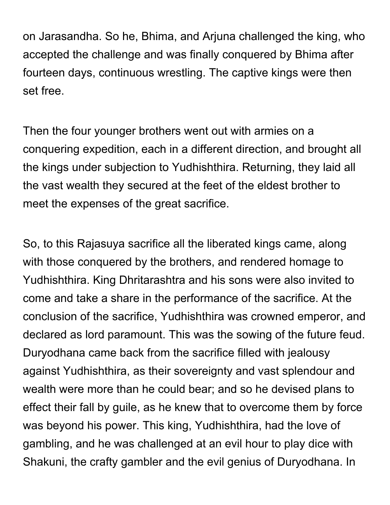on Jarasandha. So he, Bhima, and Arjuna challenged the king, who accepted the challenge and was finally conquered by Bhima after fourteen days, continuous wrestling. The captive kings were then set free.

Then the four younger brothers went out with armies on a conquering expedition, each in a different direction, and brought all the kings under subjection to Yudhishthira. Returning, they laid all the vast wealth they secured at the feet of the eldest brother to meet the expenses of the great sacrifice.

So, to this Rajasuya sacrifice all the liberated kings came, along with those conquered by the brothers, and rendered homage to Yudhishthira. King Dhritarashtra and his sons were also invited to come and take a share in the performance of the sacrifice. At the conclusion of the sacrifice, Yudhishthira was crowned emperor, and declared as lord paramount. This was the sowing of the future feud. Duryodhana came back from the sacrifice filled with jealousy against Yudhishthira, as their sovereignty and vast splendour and wealth were more than he could bear; and so he devised plans to effect their fall by guile, as he knew that to overcome them by force was beyond his power. This king, Yudhishthira, had the love of gambling, and he was challenged at an evil hour to play dice with Shakuni, the crafty gambler and the evil genius of Duryodhana. In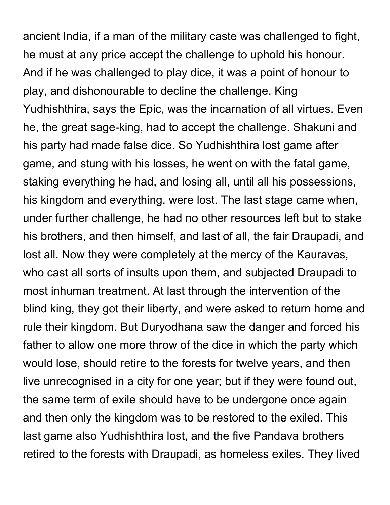ancient India, if a man of the military caste was challenged to fight, he must at any price accept the challenge to uphold his honour. And if he was challenged to play dice, it was a point of honour to play, and dishonourable to decline the challenge. King Yudhishthira, says the Epic, was the incarnation of all virtues. Even he, the great sage-king, had to accept the challenge. Shakuni and his party had made false dice. So Yudhishthira lost game after game, and stung with his losses, he went on with the fatal game, staking everything he had, and losing all, until all his possessions, his kingdom and everything, were lost. The last stage came when, under further challenge, he had no other resources left but to stake his brothers, and then himself, and last of all, the fair Draupadi, and lost all. Now they were completely at the mercy of the Kauravas, who cast all sorts of insults upon them, and subjected Draupadi to most inhuman treatment. At last through the intervention of the blind king, they got their liberty, and were asked to return home and rule their kingdom. But Duryodhana saw the danger and forced his father to allow one more throw of the dice in which the party which would lose, should retire to the forests for twelve years, and then live unrecognised in a city for one year; but if they were found out, the same term of exile should have to be undergone once again and then only the kingdom was to be restored to the exiled. This last game also Yudhishthira lost, and the five Pandava brothers retired to the forests with Draupadi, as homeless exiles. They lived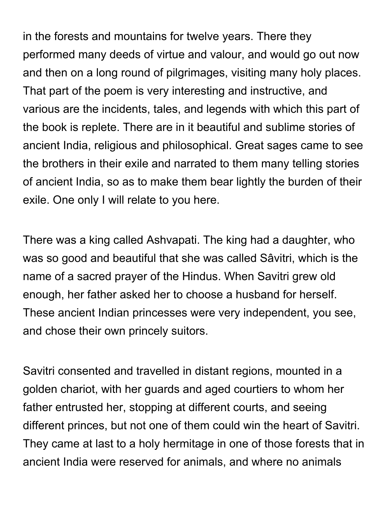in the forests and mountains for twelve years. There they performed many deeds of virtue and valour, and would go out now and then on a long round of pilgrimages, visiting many holy places. That part of the poem is very interesting and instructive, and various are the incidents, tales, and legends with which this part of the book is replete. There are in it beautiful and sublime stories of ancient India, religious and philosophical. Great sages came to see the brothers in their exile and narrated to them many telling stories of ancient India, so as to make them bear lightly the burden of their exile. One only I will relate to you here.

There was a king called Ashvapati. The king had a daughter, who was so good and beautiful that she was called Sâvitri, which is the name of a sacred prayer of the Hindus. When Savitri grew old enough, her father asked her to choose a husband for herself. These ancient Indian princesses were very independent, you see, and chose their own princely suitors.

Savitri consented and travelled in distant regions, mounted in a golden chariot, with her guards and aged courtiers to whom her father entrusted her, stopping at different courts, and seeing different princes, but not one of them could win the heart of Savitri. They came at last to a holy hermitage in one of those forests that in ancient India were reserved for animals, and where no animals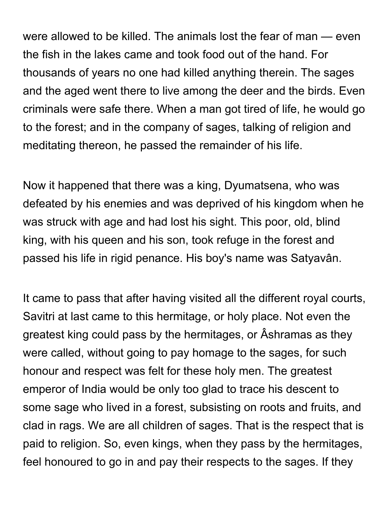were allowed to be killed. The animals lost the fear of man — even the fish in the lakes came and took food out of the hand. For thousands of years no one had killed anything therein. The sages and the aged went there to live among the deer and the birds. Even criminals were safe there. When a man got tired of life, he would go to the forest; and in the company of sages, talking of religion and meditating thereon, he passed the remainder of his life.

Now it happened that there was a king, Dyumatsena, who was defeated by his enemies and was deprived of his kingdom when he was struck with age and had lost his sight. This poor, old, blind king, with his queen and his son, took refuge in the forest and passed his life in rigid penance. His boy's name was Satyavân.

It came to pass that after having visited all the different royal courts, Savitri at last came to this hermitage, or holy place. Not even the greatest king could pass by the hermitages, or Âshramas as they were called, without going to pay homage to the sages, for such honour and respect was felt for these holy men. The greatest emperor of India would be only too glad to trace his descent to some sage who lived in a forest, subsisting on roots and fruits, and clad in rags. We are all children of sages. That is the respect that is paid to religion. So, even kings, when they pass by the hermitages, feel honoured to go in and pay their respects to the sages. If they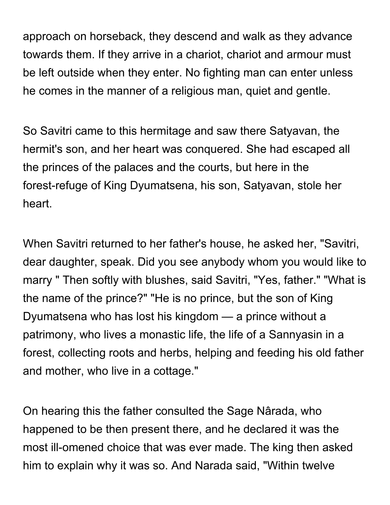approach on horseback, they descend and walk as they advance towards them. If they arrive in a chariot, chariot and armour must be left outside when they enter. No fighting man can enter unless he comes in the manner of a religious man, quiet and gentle.

So Savitri came to this hermitage and saw there Satyavan, the hermit's son, and her heart was conquered. She had escaped all the princes of the palaces and the courts, but here in the forest-refuge of King Dyumatsena, his son, Satyavan, stole her heart.

When Savitri returned to her father's house, he asked her, "Savitri, dear daughter, speak. Did you see anybody whom you would like to marry " Then softly with blushes, said Savitri, "Yes, father." "What is the name of the prince?" "He is no prince, but the son of King Dyumatsena who has lost his kingdom — a prince without a patrimony, who lives a monastic life, the life of a Sannyasin in a forest, collecting roots and herbs, helping and feeding his old father and mother, who live in a cottage."

On hearing this the father consulted the Sage Nârada, who happened to be then present there, and he declared it was the most ill-omened choice that was ever made. The king then asked him to explain why it was so. And Narada said, "Within twelve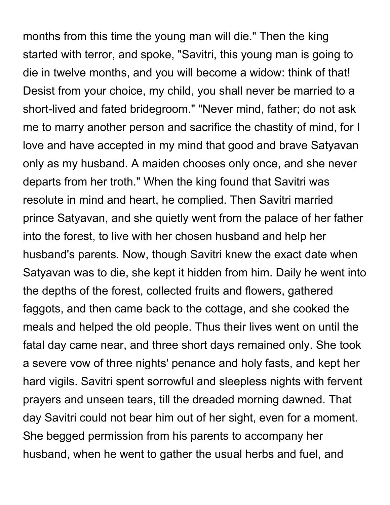months from this time the young man will die." Then the king started with terror, and spoke, "Savitri, this young man is going to die in twelve months, and you will become a widow: think of that! Desist from your choice, my child, you shall never be married to a short-lived and fated bridegroom." "Never mind, father; do not ask me to marry another person and sacrifice the chastity of mind, for I love and have accepted in my mind that good and brave Satyavan only as my husband. A maiden chooses only once, and she never departs from her troth." When the king found that Savitri was resolute in mind and heart, he complied. Then Savitri married prince Satyavan, and she quietly went from the palace of her father into the forest, to live with her chosen husband and help her husband's parents. Now, though Savitri knew the exact date when Satyavan was to die, she kept it hidden from him. Daily he went into the depths of the forest, collected fruits and flowers, gathered faggots, and then came back to the cottage, and she cooked the meals and helped the old people. Thus their lives went on until the fatal day came near, and three short days remained only. She took a severe vow of three nights' penance and holy fasts, and kept her hard vigils. Savitri spent sorrowful and sleepless nights with fervent prayers and unseen tears, till the dreaded morning dawned. That day Savitri could not bear him out of her sight, even for a moment. She begged permission from his parents to accompany her husband, when he went to gather the usual herbs and fuel, and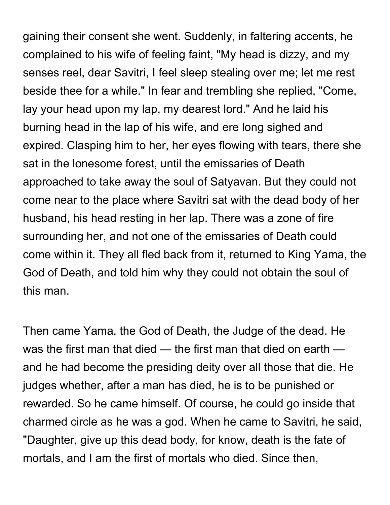gaining their consent she went. Suddenly, in faltering accents, he complained to his wife of feeling faint, "My head is dizzy, and my senses reel, dear Savitri, I feel sleep stealing over me; let me rest beside thee for a while." In fear and trembling she replied, "Come, lay your head upon my lap, my dearest lord." And he laid his burning head in the lap of his wife, and ere long sighed and expired. Clasping him to her, her eyes flowing with tears, there she sat in the lonesome forest, until the emissaries of Death approached to take away the soul of Satyavan. But they could not come near to the place where Savitri sat with the dead body of her husband, his head resting in her lap. There was a zone of fire surrounding her, and not one of the emissaries of Death could come within it. They all fled back from it, returned to King Yama, the God of Death, and told him why they could not obtain the soul of this man.

Then came Yama, the God of Death, the Judge of the dead. He was the first man that died — the first man that died on earth and he had become the presiding deity over all those that die. He judges whether, after a man has died, he is to be punished or rewarded. So he came himself. Of course, he could go inside that charmed circle as he was a god. When he came to Savitri, he said, "Daughter, give up this dead body, for know, death is the fate of mortals, and I am the first of mortals who died. Since then,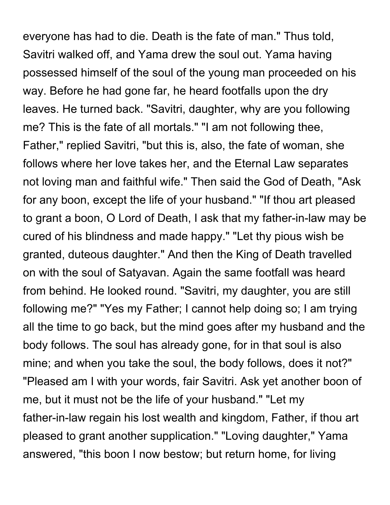everyone has had to die. Death is the fate of man." Thus told, Savitri walked off, and Yama drew the soul out. Yama having possessed himself of the soul of the young man proceeded on his way. Before he had gone far, he heard footfalls upon the dry leaves. He turned back. "Savitri, daughter, why are you following me? This is the fate of all mortals." "I am not following thee, Father," replied Savitri, "but this is, also, the fate of woman, she follows where her love takes her, and the Eternal Law separates not loving man and faithful wife." Then said the God of Death, "Ask for any boon, except the life of your husband." "If thou art pleased to grant a boon, O Lord of Death, I ask that my father-in-law may be cured of his blindness and made happy." "Let thy pious wish be granted, duteous daughter." And then the King of Death travelled on with the soul of Satyavan. Again the same footfall was heard from behind. He looked round. "Savitri, my daughter, you are still following me?" "Yes my Father; I cannot help doing so; I am trying all the time to go back, but the mind goes after my husband and the body follows. The soul has already gone, for in that soul is also mine; and when you take the soul, the body follows, does it not?" "Pleased am I with your words, fair Savitri. Ask yet another boon of me, but it must not be the life of your husband." "Let my father-in-law regain his lost wealth and kingdom, Father, if thou art pleased to grant another supplication." "Loving daughter," Yama answered, "this boon I now bestow; but return home, for living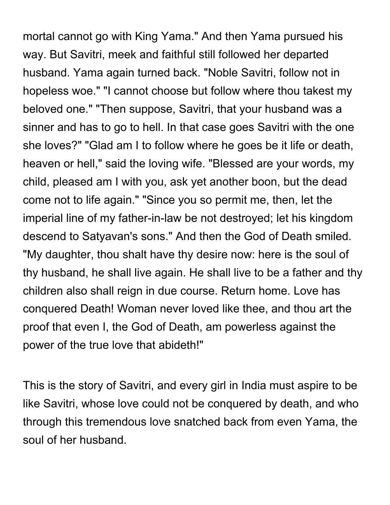mortal cannot go with King Yama." And then Yama pursued his way. But Savitri, meek and faithful still followed her departed husband. Yama again turned back. "Noble Savitri, follow not in hopeless woe." "I cannot choose but follow where thou takest my beloved one." "Then suppose, Savitri, that your husband was a sinner and has to go to hell. In that case goes Savitri with the one she loves?" "Glad am I to follow where he goes be it life or death, heaven or hell," said the loving wife. "Blessed are your words, my child, pleased am I with you, ask yet another boon, but the dead come not to life again." "Since you so permit me, then, let the imperial line of my father-in-law be not destroyed; let his kingdom descend to Satyavan's sons." And then the God of Death smiled. "My daughter, thou shalt have thy desire now: here is the soul of thy husband, he shall live again. He shall live to be a father and thy children also shall reign in due course. Return home. Love has conquered Death! Woman never loved like thee, and thou art the proof that even I, the God of Death, am powerless against the power of the true love that abideth!"

This is the story of Savitri, and every girl in India must aspire to be like Savitri, whose love could not be conquered by death, and who through this tremendous love snatched back from even Yama, the soul of her husband.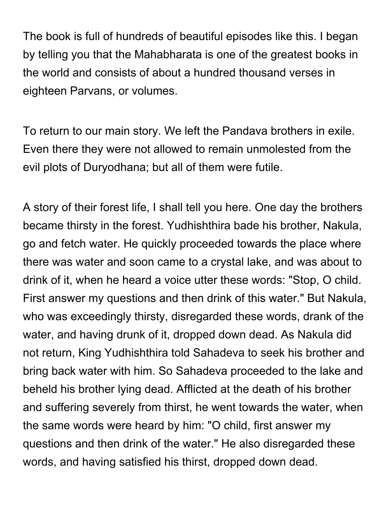The book is full of hundreds of beautiful episodes like this. I began by telling you that the Mahabharata is one of the greatest books in the world and consists of about a hundred thousand verses in eighteen Parvans, or volumes.

To return to our main story. We left the Pandava brothers in exile. Even there they were not allowed to remain unmolested from the evil plots of Duryodhana; but all of them were futile.

A story of their forest life, I shall tell you here. One day the brothers became thirsty in the forest. Yudhishthira bade his brother, Nakula, go and fetch water. He quickly proceeded towards the place where there was water and soon came to a crystal lake, and was about to drink of it, when he heard a voice utter these words: "Stop, O child. First answer my questions and then drink of this water." But Nakula, who was exceedingly thirsty, disregarded these words, drank of the water, and having drunk of it, dropped down dead. As Nakula did not return, King Yudhishthira told Sahadeva to seek his brother and bring back water with him. So Sahadeva proceeded to the lake and beheld his brother lying dead. Afflicted at the death of his brother and suffering severely from thirst, he went towards the water, when the same words were heard by him: "O child, first answer my questions and then drink of the water." He also disregarded these words, and having satisfied his thirst, dropped down dead.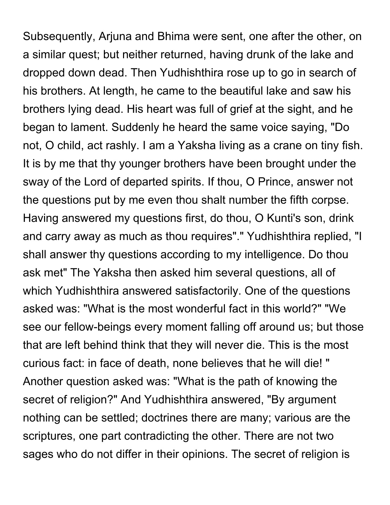Subsequently, Arjuna and Bhima were sent, one after the other, on a similar quest; but neither returned, having drunk of the lake and dropped down dead. Then Yudhishthira rose up to go in search of his brothers. At length, he came to the beautiful lake and saw his brothers lying dead. His heart was full of grief at the sight, and he began to lament. Suddenly he heard the same voice saying, "Do not, O child, act rashly. I am a Yaksha living as a crane on tiny fish. It is by me that thy younger brothers have been brought under the sway of the Lord of departed spirits. If thou, O Prince, answer not the questions put by me even thou shalt number the fifth corpse. Having answered my questions first, do thou, O Kunti's son, drink and carry away as much as thou requires"." Yudhishthira replied, "I shall answer thy questions according to my intelligence. Do thou ask met" The Yaksha then asked him several questions, all of which Yudhishthira answered satisfactorily. One of the questions asked was: "What is the most wonderful fact in this world?" "We see our fellow-beings every moment falling off around us; but those that are left behind think that they will never die. This is the most curious fact: in face of death, none believes that he will die! " Another question asked was: "What is the path of knowing the secret of religion?" And Yudhishthira answered, "By argument nothing can be settled; doctrines there are many; various are the scriptures, one part contradicting the other. There are not two sages who do not differ in their opinions. The secret of religion is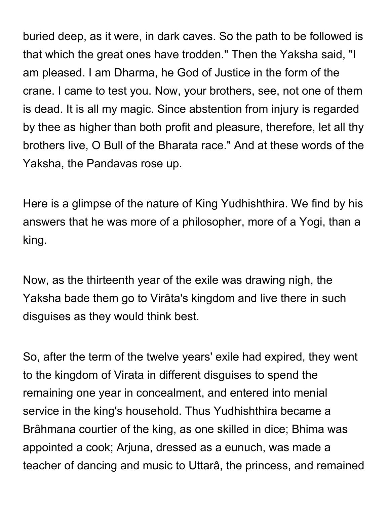buried deep, as it were, in dark caves. So the path to be followed is that which the great ones have trodden." Then the Yaksha said, "I am pleased. I am Dharma, he God of Justice in the form of the crane. I came to test you. Now, your brothers, see, not one of them is dead. It is all my magic. Since abstention from injury is regarded by thee as higher than both profit and pleasure, therefore, let all thy brothers live, O Bull of the Bharata race." And at these words of the Yaksha, the Pandavas rose up.

Here is a glimpse of the nature of King Yudhishthira. We find by his answers that he was more of a philosopher, more of a Yogi, than a king.

Now, as the thirteenth year of the exile was drawing nigh, the Yaksha bade them go to Virâta's kingdom and live there in such disguises as they would think best.

So, after the term of the twelve years' exile had expired, they went to the kingdom of Virata in different disguises to spend the remaining one year in concealment, and entered into menial service in the king's household. Thus Yudhishthira became a Brâhmana courtier of the king, as one skilled in dice; Bhima was appointed a cook; Arjuna, dressed as a eunuch, was made a teacher of dancing and music to Uttarâ, the princess, and remained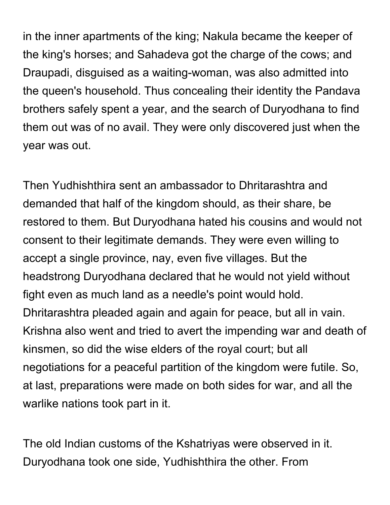in the inner apartments of the king; Nakula became the keeper of the king's horses; and Sahadeva got the charge of the cows; and Draupadi, disguised as a waiting-woman, was also admitted into the queen's household. Thus concealing their identity the Pandava brothers safely spent a year, and the search of Duryodhana to find them out was of no avail. They were only discovered just when the year was out.

Then Yudhishthira sent an ambassador to Dhritarashtra and demanded that half of the kingdom should, as their share, be restored to them. But Duryodhana hated his cousins and would not consent to their legitimate demands. They were even willing to accept a single province, nay, even five villages. But the headstrong Duryodhana declared that he would not yield without fight even as much land as a needle's point would hold. Dhritarashtra pleaded again and again for peace, but all in vain. Krishna also went and tried to avert the impending war and death of kinsmen, so did the wise elders of the royal court; but all negotiations for a peaceful partition of the kingdom were futile. So, at last, preparations were made on both sides for war, and all the warlike nations took part in it.

The old Indian customs of the Kshatriyas were observed in it. Duryodhana took one side, Yudhishthira the other. From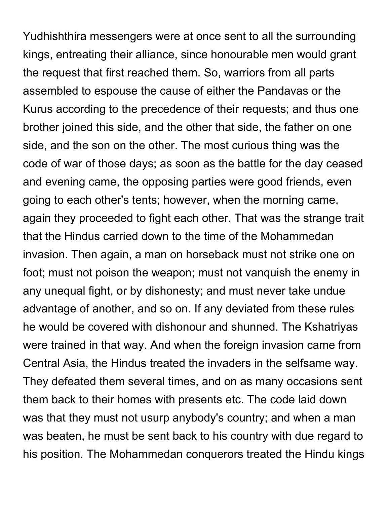Yudhishthira messengers were at once sent to all the surrounding kings, entreating their alliance, since honourable men would grant the request that first reached them. So, warriors from all parts assembled to espouse the cause of either the Pandavas or the Kurus according to the precedence of their requests; and thus one brother joined this side, and the other that side, the father on one side, and the son on the other. The most curious thing was the code of war of those days; as soon as the battle for the day ceased and evening came, the opposing parties were good friends, even going to each other's tents; however, when the morning came, again they proceeded to fight each other. That was the strange trait that the Hindus carried down to the time of the Mohammedan invasion. Then again, a man on horseback must not strike one on foot; must not poison the weapon; must not vanquish the enemy in any unequal fight, or by dishonesty; and must never take undue advantage of another, and so on. If any deviated from these rules he would be covered with dishonour and shunned. The Kshatriyas were trained in that way. And when the foreign invasion came from Central Asia, the Hindus treated the invaders in the selfsame way. They defeated them several times, and on as many occasions sent them back to their homes with presents etc. The code laid down was that they must not usurp anybody's country; and when a man was beaten, he must be sent back to his country with due regard to his position. The Mohammedan conquerors treated the Hindu kings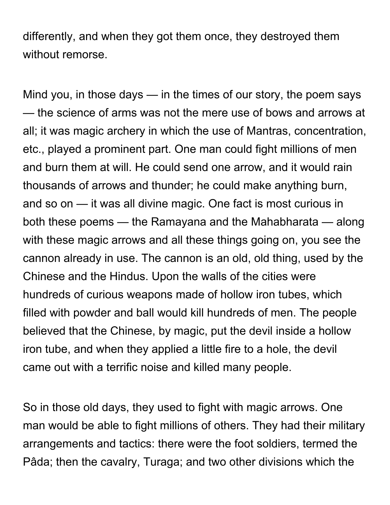differently, and when they got them once, they destroyed them without remorse.

Mind you, in those days — in the times of our story, the poem says — the science of arms was not the mere use of bows and arrows at all; it was magic archery in which the use of Mantras, concentration, etc., played a prominent part. One man could fight millions of men and burn them at will. He could send one arrow, and it would rain thousands of arrows and thunder; he could make anything burn, and so on — it was all divine magic. One fact is most curious in both these poems — the Ramayana and the Mahabharata — along with these magic arrows and all these things going on, you see the cannon already in use. The cannon is an old, old thing, used by the Chinese and the Hindus. Upon the walls of the cities were hundreds of curious weapons made of hollow iron tubes, which filled with powder and ball would kill hundreds of men. The people believed that the Chinese, by magic, put the devil inside a hollow iron tube, and when they applied a little fire to a hole, the devil came out with a terrific noise and killed many people.

So in those old days, they used to fight with magic arrows. One man would be able to fight millions of others. They had their military arrangements and tactics: there were the foot soldiers, termed the Pâda; then the cavalry, Turaga; and two other divisions which the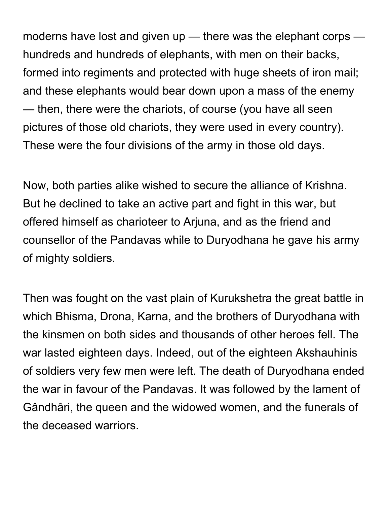moderns have lost and given up — there was the elephant corps hundreds and hundreds of elephants, with men on their backs, formed into regiments and protected with huge sheets of iron mail; and these elephants would bear down upon a mass of the enemy — then, there were the chariots, of course (you have all seen pictures of those old chariots, they were used in every country). These were the four divisions of the army in those old days.

Now, both parties alike wished to secure the alliance of Krishna. But he declined to take an active part and fight in this war, but offered himself as charioteer to Arjuna, and as the friend and counsellor of the Pandavas while to Duryodhana he gave his army of mighty soldiers.

Then was fought on the vast plain of Kurukshetra the great battle in which Bhisma, Drona, Karna, and the brothers of Duryodhana with the kinsmen on both sides and thousands of other heroes fell. The war lasted eighteen days. Indeed, out of the eighteen Akshauhinis of soldiers very few men were left. The death of Duryodhana ended the war in favour of the Pandavas. It was followed by the lament of Gândhâri, the queen and the widowed women, and the funerals of the deceased warriors.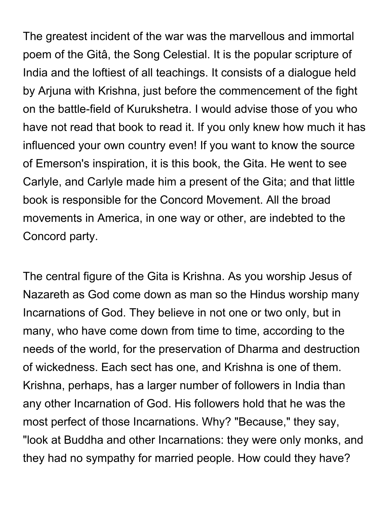The greatest incident of the war was the marvellous and immortal poem of the Gitâ, the Song Celestial. It is the popular scripture of India and the loftiest of all teachings. It consists of a dialogue held by Arjuna with Krishna, just before the commencement of the fight on the battle-field of Kurukshetra. I would advise those of you who have not read that book to read it. If you only knew how much it has influenced your own country even! If you want to know the source of Emerson's inspiration, it is this book, the Gita. He went to see Carlyle, and Carlyle made him a present of the Gita; and that little book is responsible for the Concord Movement. All the broad movements in America, in one way or other, are indebted to the Concord party.

The central figure of the Gita is Krishna. As you worship Jesus of Nazareth as God come down as man so the Hindus worship many Incarnations of God. They believe in not one or two only, but in many, who have come down from time to time, according to the needs of the world, for the preservation of Dharma and destruction of wickedness. Each sect has one, and Krishna is one of them. Krishna, perhaps, has a larger number of followers in India than any other Incarnation of God. His followers hold that he was the most perfect of those Incarnations. Why? "Because," they say, "look at Buddha and other Incarnations: they were only monks, and they had no sympathy for married people. How could they have?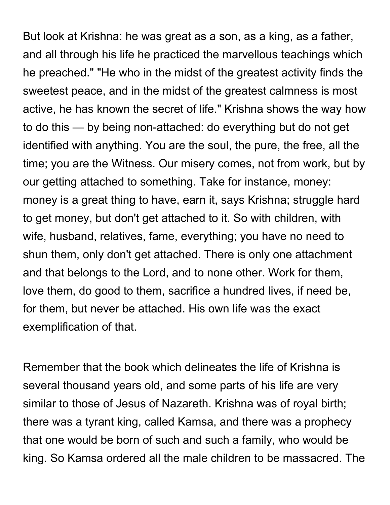But look at Krishna: he was great as a son, as a king, as a father, and all through his life he practiced the marvellous teachings which he preached." "He who in the midst of the greatest activity finds the sweetest peace, and in the midst of the greatest calmness is most active, he has known the secret of life." Krishna shows the way how to do this — by being non-attached: do everything but do not get identified with anything. You are the soul, the pure, the free, all the time; you are the Witness. Our misery comes, not from work, but by our getting attached to something. Take for instance, money: money is a great thing to have, earn it, says Krishna; struggle hard to get money, but don't get attached to it. So with children, with wife, husband, relatives, fame, everything; you have no need to shun them, only don't get attached. There is only one attachment and that belongs to the Lord, and to none other. Work for them, love them, do good to them, sacrifice a hundred lives, if need be, for them, but never be attached. His own life was the exact exemplification of that.

Remember that the book which delineates the life of Krishna is several thousand years old, and some parts of his life are very similar to those of Jesus of Nazareth. Krishna was of royal birth; there was a tyrant king, called Kamsa, and there was a prophecy that one would be born of such and such a family, who would be king. So Kamsa ordered all the male children to be massacred. The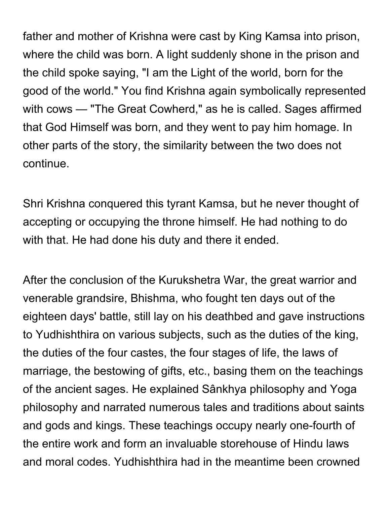father and mother of Krishna were cast by King Kamsa into prison, where the child was born. A light suddenly shone in the prison and the child spoke saying, "I am the Light of the world, born for the good of the world." You find Krishna again symbolically represented with cows — "The Great Cowherd," as he is called. Sages affirmed that God Himself was born, and they went to pay him homage. In other parts of the story, the similarity between the two does not continue.

Shri Krishna conquered this tyrant Kamsa, but he never thought of accepting or occupying the throne himself. He had nothing to do with that. He had done his duty and there it ended.

After the conclusion of the Kurukshetra War, the great warrior and venerable grandsire, Bhishma, who fought ten days out of the eighteen days' battle, still lay on his deathbed and gave instructions to Yudhishthira on various subjects, such as the duties of the king, the duties of the four castes, the four stages of life, the laws of marriage, the bestowing of gifts, etc., basing them on the teachings of the ancient sages. He explained Sânkhya philosophy and Yoga philosophy and narrated numerous tales and traditions about saints and gods and kings. These teachings occupy nearly one-fourth of the entire work and form an invaluable storehouse of Hindu laws and moral codes. Yudhishthira had in the meantime been crowned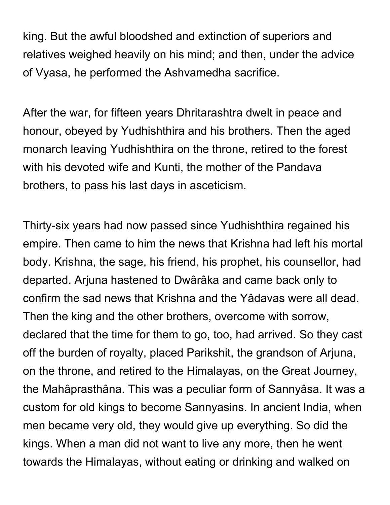king. But the awful bloodshed and extinction of superiors and relatives weighed heavily on his mind; and then, under the advice of Vyasa, he performed the Ashvamedha sacrifice.

After the war, for fifteen years Dhritarashtra dwelt in peace and honour, obeyed by Yudhishthira and his brothers. Then the aged monarch leaving Yudhishthira on the throne, retired to the forest with his devoted wife and Kunti, the mother of the Pandava brothers, to pass his last days in asceticism.

Thirty-six years had now passed since Yudhishthira regained his empire. Then came to him the news that Krishna had left his mortal body. Krishna, the sage, his friend, his prophet, his counsellor, had departed. Arjuna hastened to Dwârâka and came back only to confirm the sad news that Krishna and the Yâdavas were all dead. Then the king and the other brothers, overcome with sorrow, declared that the time for them to go, too, had arrived. So they cast off the burden of royalty, placed Parikshit, the grandson of Arjuna, on the throne, and retired to the Himalayas, on the Great Journey, the Mahâprasthâna. This was a peculiar form of Sannyâsa. It was a custom for old kings to become Sannyasins. In ancient India, when men became very old, they would give up everything. So did the kings. When a man did not want to live any more, then he went towards the Himalayas, without eating or drinking and walked on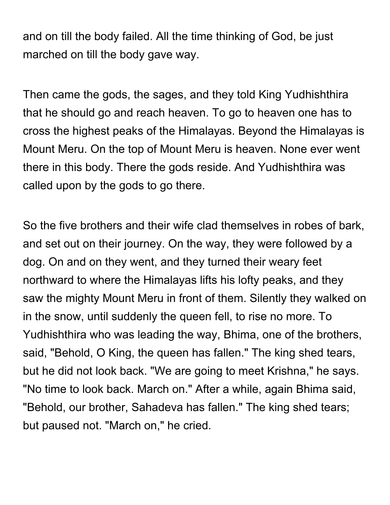and on till the body failed. All the time thinking of God, be just marched on till the body gave way.

Then came the gods, the sages, and they told King Yudhishthira that he should go and reach heaven. To go to heaven one has to cross the highest peaks of the Himalayas. Beyond the Himalayas is Mount Meru. On the top of Mount Meru is heaven. None ever went there in this body. There the gods reside. And Yudhishthira was called upon by the gods to go there.

So the five brothers and their wife clad themselves in robes of bark, and set out on their journey. On the way, they were followed by a dog. On and on they went, and they turned their weary feet northward to where the Himalayas lifts his lofty peaks, and they saw the mighty Mount Meru in front of them. Silently they walked on in the snow, until suddenly the queen fell, to rise no more. To Yudhishthira who was leading the way, Bhima, one of the brothers, said, "Behold, O King, the queen has fallen." The king shed tears, but he did not look back. "We are going to meet Krishna," he says. "No time to look back. March on." After a while, again Bhima said, "Behold, our brother, Sahadeva has fallen." The king shed tears; but paused not. "March on," he cried.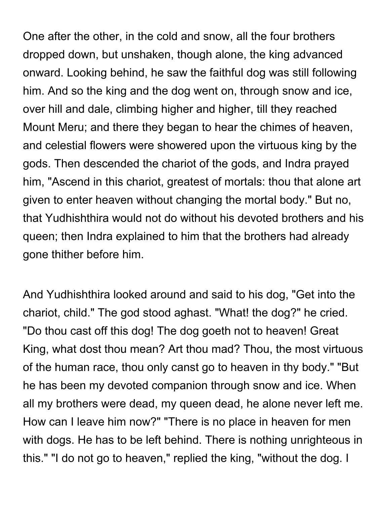One after the other, in the cold and snow, all the four brothers dropped down, but unshaken, though alone, the king advanced onward. Looking behind, he saw the faithful dog was still following him. And so the king and the dog went on, through snow and ice, over hill and dale, climbing higher and higher, till they reached Mount Meru; and there they began to hear the chimes of heaven, and celestial flowers were showered upon the virtuous king by the gods. Then descended the chariot of the gods, and Indra prayed him, "Ascend in this chariot, greatest of mortals: thou that alone art given to enter heaven without changing the mortal body." But no, that Yudhishthira would not do without his devoted brothers and his queen; then Indra explained to him that the brothers had already gone thither before him.

And Yudhishthira looked around and said to his dog, "Get into the chariot, child." The god stood aghast. "What! the dog?" he cried. "Do thou cast off this dog! The dog goeth not to heaven! Great King, what dost thou mean? Art thou mad? Thou, the most virtuous of the human race, thou only canst go to heaven in thy body." "But he has been my devoted companion through snow and ice. When all my brothers were dead, my queen dead, he alone never left me. How can I leave him now?" "There is no place in heaven for men with dogs. He has to be left behind. There is nothing unrighteous in this." "I do not go to heaven," replied the king, "without the dog. I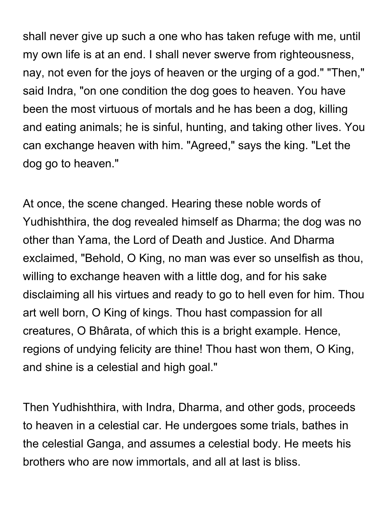shall never give up such a one who has taken refuge with me, until my own life is at an end. I shall never swerve from righteousness, nay, not even for the joys of heaven or the urging of a god." "Then," said Indra, "on one condition the dog goes to heaven. You have been the most virtuous of mortals and he has been a dog, killing and eating animals; he is sinful, hunting, and taking other lives. You can exchange heaven with him. "Agreed," says the king. "Let the dog go to heaven."

At once, the scene changed. Hearing these noble words of Yudhishthira, the dog revealed himself as Dharma; the dog was no other than Yama, the Lord of Death and Justice. And Dharma exclaimed, "Behold, O King, no man was ever so unselfish as thou, willing to exchange heaven with a little dog, and for his sake disclaiming all his virtues and ready to go to hell even for him. Thou art well born, O King of kings. Thou hast compassion for all creatures, O Bhârata, of which this is a bright example. Hence, regions of undying felicity are thine! Thou hast won them, O King, and shine is a celestial and high goal."

Then Yudhishthira, with Indra, Dharma, and other gods, proceeds to heaven in a celestial car. He undergoes some trials, bathes in the celestial Ganga, and assumes a celestial body. He meets his brothers who are now immortals, and all at last is bliss.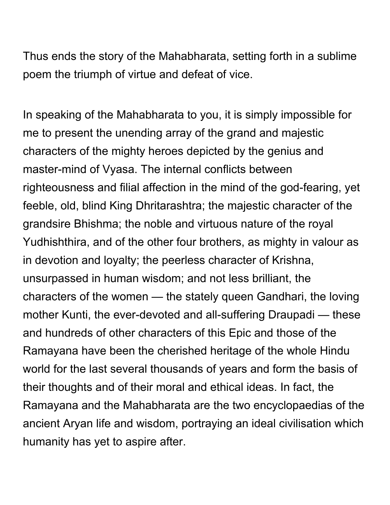Thus ends the story of the Mahabharata, setting forth in a sublime poem the triumph of virtue and defeat of vice.

In speaking of the Mahabharata to you, it is simply impossible for me to present the unending array of the grand and majestic characters of the mighty heroes depicted by the genius and master-mind of Vyasa. The internal conflicts between righteousness and filial affection in the mind of the god-fearing, yet feeble, old, blind King Dhritarashtra; the majestic character of the grandsire Bhishma; the noble and virtuous nature of the royal Yudhishthira, and of the other four brothers, as mighty in valour as in devotion and loyalty; the peerless character of Krishna, unsurpassed in human wisdom; and not less brilliant, the characters of the women — the stately queen Gandhari, the loving mother Kunti, the ever-devoted and all-suffering Draupadi — these and hundreds of other characters of this Epic and those of the Ramayana have been the cherished heritage of the whole Hindu world for the last several thousands of years and form the basis of their thoughts and of their moral and ethical ideas. In fact, the Ramayana and the Mahabharata are the two encyclopaedias of the ancient Aryan life and wisdom, portraying an ideal civilisation which humanity has yet to aspire after.